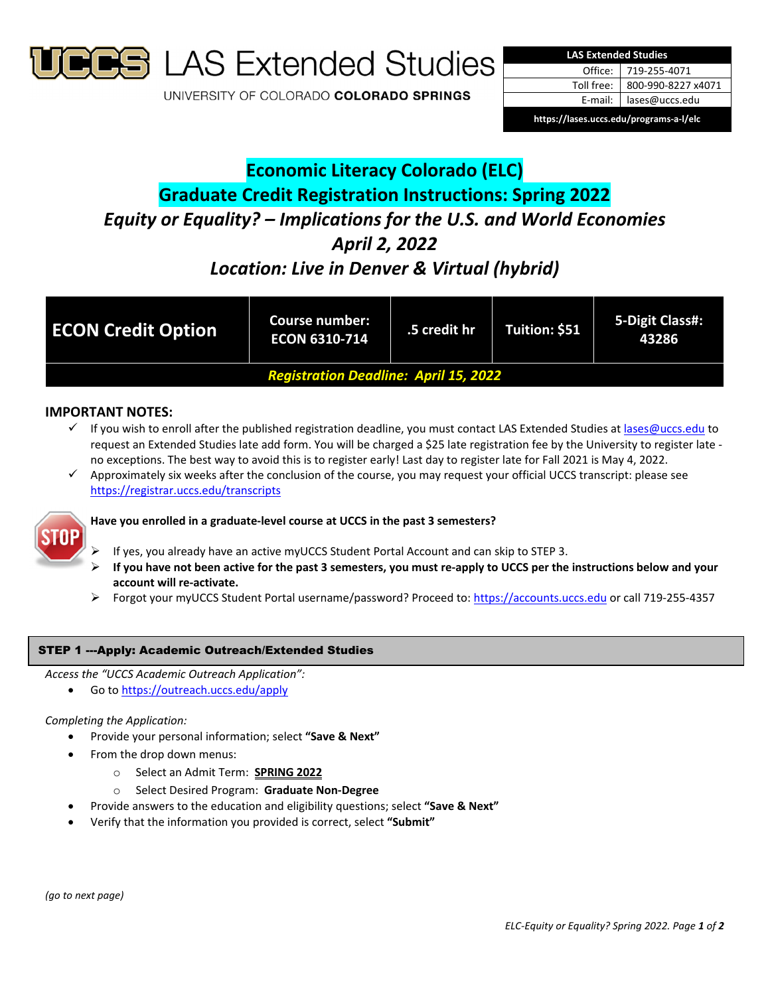

**S** LAS Extended Studies

UNIVERSITY OF COLORADO COLORADO SPRINGS



# **Economic Literacy Colorado (ELC) Graduate Credit Registration Instructions: Spring 2022** *Equity or Equality? – Implications for the U.S. and World Economies April 2, 2022*

## *Location: Live in Denver & Virtual (hybrid)*

| <b>ECON Credit Option</b>                    | <b>Course number:</b><br><b>ECON 6310-714</b> | .5 credit hr | Tuition: \$51 | 5-Digit Class#:<br>43286 |
|----------------------------------------------|-----------------------------------------------|--------------|---------------|--------------------------|
| <b>Registration Deadline: April 15, 2022</b> |                                               |              |               |                          |

## **IMPORTANT NOTES:**

- If you wish to enroll after the published registration deadline, you must contact LAS Extended Studies at lases@uccs.edu to request an Extended Studies late add form. You will be charged a \$25 late registration fee by the University to register late ‐ no exceptions. The best way to avoid this is to register early! Last day to register late for Fall 2021 is May 4, 2022.
- Approximately six weeks after the conclusion of the course, you may request your official UCCS transcript: please see https://registrar.uccs.edu/transcripts



## **Have you enrolled in a graduate‐level course at UCCS in the past 3 semesters?**

- If yes, you already have an active myUCCS Student Portal Account and can skip to STEP 3.
- If you have not been active for the past 3 semesters, you must re-apply to UCCS per the instructions below and your **account will re‐activate.**
- Forgot your myUCCS Student Portal username/password? Proceed to: https://accounts.uccs.edu or call 719-255-4357

### STEP 1 ---Apply: Academic Outreach/Extended Studies

*Access the "UCCS Academic Outreach Application":*

Go to https://outreach.uccs.edu/apply

#### *Completing the Application:*

- Provide your personal information; select **"Save & Next"**
- From the drop down menus:
	- o Select an Admit Term: **SPRING 2022**
	- o Select Desired Program: **Graduate Non‐Degree**
- Provide answers to the education and eligibility questions; select **"Save & Next"**
- Verify that the information you provided is correct, select **"Submit"**

*(go to next page)*